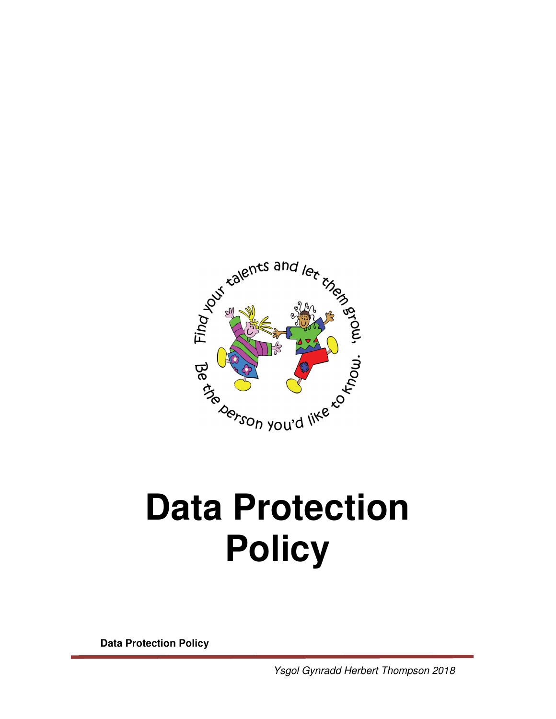

# **Policy**

**Data Protection Policy**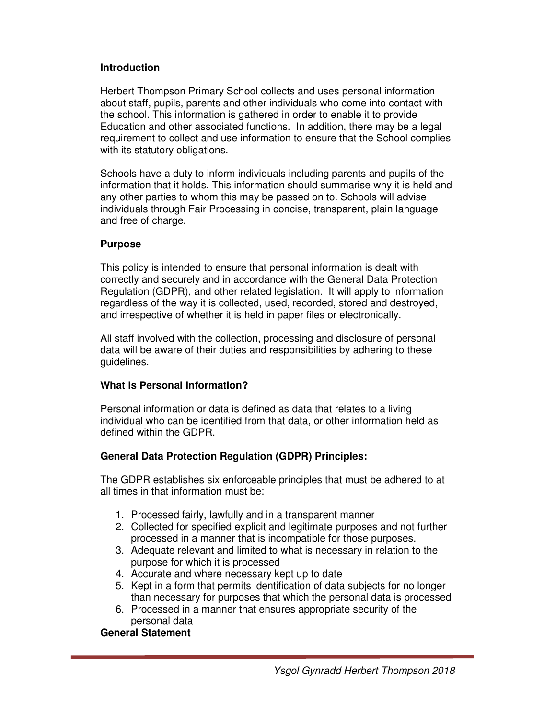#### **Introduction**

Herbert Thompson Primary School collects and uses personal information about staff, pupils, parents and other individuals who come into contact with the school. This information is gathered in order to enable it to provide Education and other associated functions. In addition, there may be a legal requirement to collect and use information to ensure that the School complies with its statutory obligations.

Schools have a duty to inform individuals including parents and pupils of the information that it holds. This information should summarise why it is held and any other parties to whom this may be passed on to. Schools will advise individuals through Fair Processing in concise, transparent, plain language and free of charge.

#### **Purpose**

This policy is intended to ensure that personal information is dealt with correctly and securely and in accordance with the General Data Protection Regulation (GDPR), and other related legislation. It will apply to information regardless of the way it is collected, used, recorded, stored and destroyed, and irrespective of whether it is held in paper files or electronically.

All staff involved with the collection, processing and disclosure of personal data will be aware of their duties and responsibilities by adhering to these guidelines.

## **What is Personal Information?**

Personal information or data is defined as data that relates to a living individual who can be identified from that data, or other information held as defined within the GDPR.

## **General Data Protection Regulation (GDPR) Principles:**

The GDPR establishes six enforceable principles that must be adhered to at all times in that information must be:

- 1. Processed fairly, lawfully and in a transparent manner
- 2. Collected for specified explicit and legitimate purposes and not further processed in a manner that is incompatible for those purposes.
- 3. Adequate relevant and limited to what is necessary in relation to the purpose for which it is processed
- 4. Accurate and where necessary kept up to date
- 5. Kept in a form that permits identification of data subjects for no longer than necessary for purposes that which the personal data is processed
- 6. Processed in a manner that ensures appropriate security of the personal data

## **General Statement**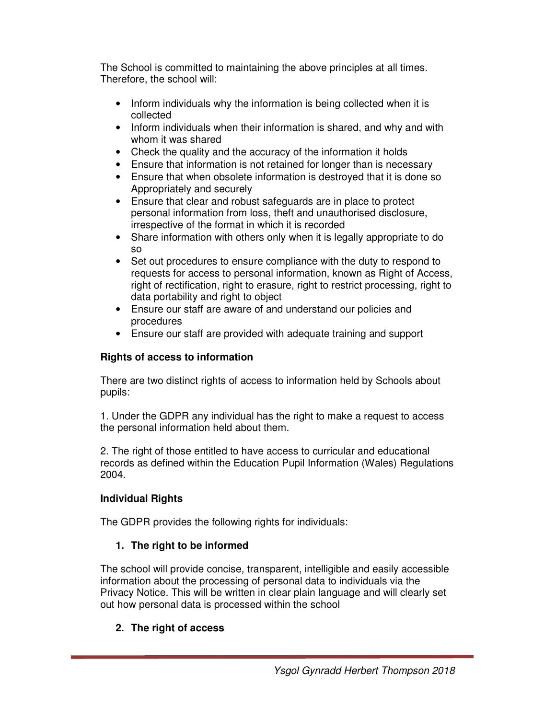The School is committed to maintaining the above principles at all times. Therefore, the school will:

- Inform individuals why the information is being collected when it is collected
- Inform individuals when their information is shared, and why and with whom it was shared
- Check the quality and the accuracy of the information it holds
- Ensure that information is not retained for longer than is necessary
- Ensure that when obsolete information is destroyed that it is done so Appropriately and securely
- Ensure that clear and robust safeguards are in place to protect personal information from loss, theft and unauthorised disclosure, irrespective of the format in which it is recorded
- Share information with others only when it is legally appropriate to do so
- Set out procedures to ensure compliance with the duty to respond to requests for access to personal information, known as Right of Access, right of rectification, right to erasure, right to restrict processing, right to data portability and right to object
- Ensure our staff are aware of and understand our policies and procedures
- Ensure our staff are provided with adequate training and support

## **Rights of access to information**

There are two distinct rights of access to information held by Schools about pupils:

1. Under the GDPR any individual has the right to make a request to access the personal information held about them.

2. The right of those entitled to have access to curricular and educational records as defined within the Education Pupil Information (Wales) Regulations 2004.

# **Individual Rights**

The GDPR provides the following rights for individuals:

# **1. The right to be informed**

The school will provide concise, transparent, intelligible and easily accessible information about the processing of personal data to individuals via the Privacy Notice. This will be written in clear plain language and will clearly set out how personal data is processed within the school

# **2. The right of access**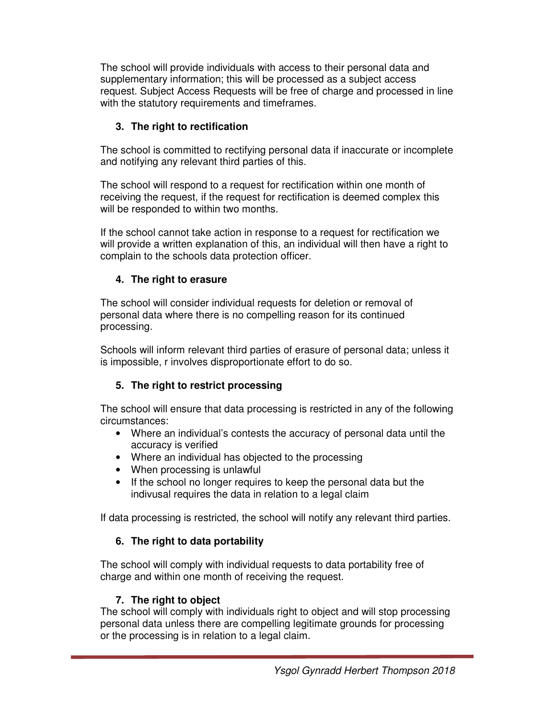The school will provide individuals with access to their personal data and supplementary information; this will be processed as a subject access request. Subject Access Requests will be free of charge and processed in line with the statutory requirements and timeframes.

## **3. The right to rectification**

The school is committed to rectifying personal data if inaccurate or incomplete and notifying any relevant third parties of this.

The school will respond to a request for rectification within one month of receiving the request, if the request for rectification is deemed complex this will be responded to within two months.

If the school cannot take action in response to a request for rectification we will provide a written explanation of this, an individual will then have a right to complain to the schools data protection officer.

## **4. The right to erasure**

The school will consider individual requests for deletion or removal of personal data where there is no compelling reason for its continued processing.

Schools will inform relevant third parties of erasure of personal data; unless it is impossible, r involves disproportionate effort to do so.

## **5. The right to restrict processing**

The school will ensure that data processing is restricted in any of the following circumstances:

- Where an individual's contests the accuracy of personal data until the accuracy is verified
- Where an individual has objected to the processing
- When processing is unlawful
- If the school no longer requires to keep the personal data but the indivusal requires the data in relation to a legal claim

If data processing is restricted, the school will notify any relevant third parties.

## **6. The right to data portability**

The school will comply with individual requests to data portability free of charge and within one month of receiving the request.

## **7. The right to object**

The school will comply with individuals right to object and will stop processing personal data unless there are compelling legitimate grounds for processing or the processing is in relation to a legal claim.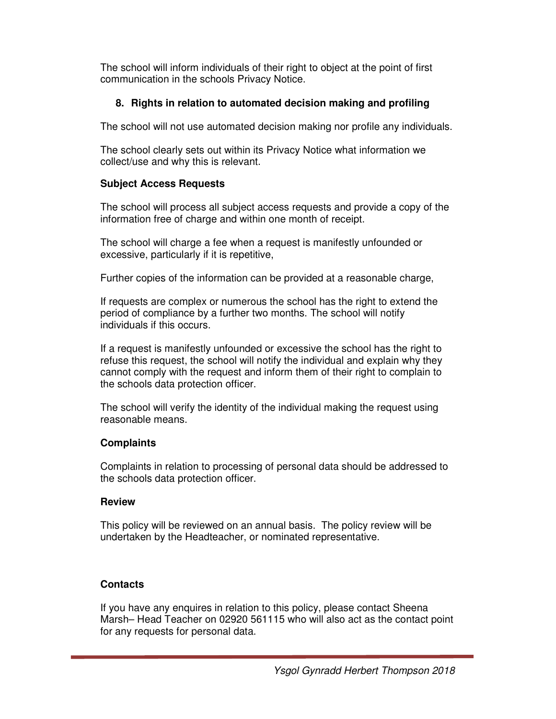The school will inform individuals of their right to object at the point of first communication in the schools Privacy Notice.

## **8. Rights in relation to automated decision making and profiling**

The school will not use automated decision making nor profile any individuals.

The school clearly sets out within its Privacy Notice what information we collect/use and why this is relevant.

## **Subject Access Requests**

The school will process all subject access requests and provide a copy of the information free of charge and within one month of receipt.

The school will charge a fee when a request is manifestly unfounded or excessive, particularly if it is repetitive,

Further copies of the information can be provided at a reasonable charge,

If requests are complex or numerous the school has the right to extend the period of compliance by a further two months. The school will notify individuals if this occurs.

If a request is manifestly unfounded or excessive the school has the right to refuse this request, the school will notify the individual and explain why they cannot comply with the request and inform them of their right to complain to the schools data protection officer.

The school will verify the identity of the individual making the request using reasonable means.

## **Complaints**

Complaints in relation to processing of personal data should be addressed to the schools data protection officer.

## **Review**

This policy will be reviewed on an annual basis. The policy review will be undertaken by the Headteacher, or nominated representative.

## **Contacts**

If you have any enquires in relation to this policy, please contact Sheena Marsh– Head Teacher on 02920 561115 who will also act as the contact point for any requests for personal data.